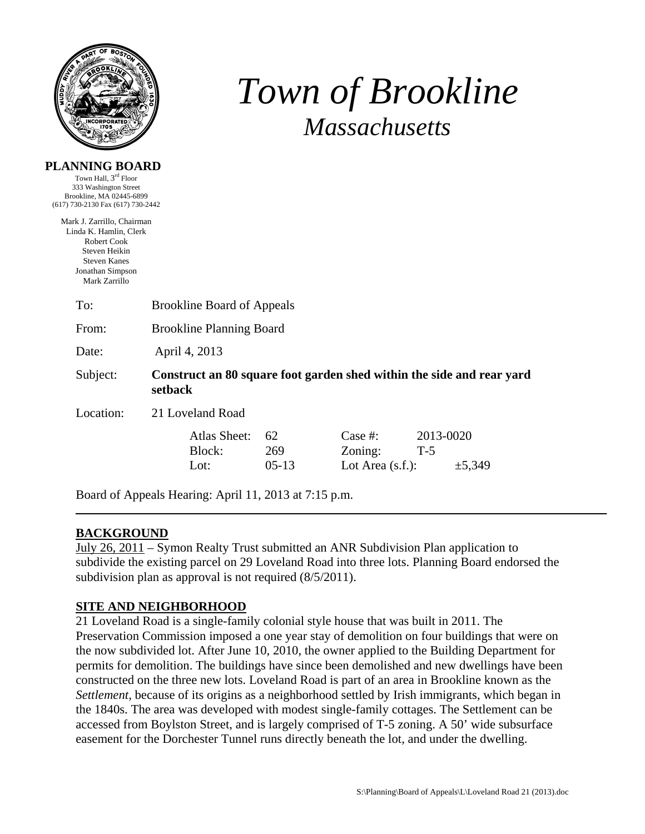

**PLANNING BOARD** 

# *Town of Brookline Massachusetts*

| Town Hall, 3 <sup>rd</sup> Floor<br>333 Washington Street<br>Brookline, MA 02445-6899 |                                                                                  |                     |         |                     |           |        |  |  |
|---------------------------------------------------------------------------------------|----------------------------------------------------------------------------------|---------------------|---------|---------------------|-----------|--------|--|--|
| (617) 730-2130 Fax (617) 730-2442                                                     |                                                                                  |                     |         |                     |           |        |  |  |
| Mark J. Zarrillo, Chairman                                                            |                                                                                  |                     |         |                     |           |        |  |  |
| Linda K. Hamlin, Clerk<br><b>Robert Cook</b>                                          |                                                                                  |                     |         |                     |           |        |  |  |
| Steven Heikin                                                                         |                                                                                  |                     |         |                     |           |        |  |  |
| <b>Steven Kanes</b>                                                                   |                                                                                  |                     |         |                     |           |        |  |  |
| Jonathan Simpson<br>Mark Zarrillo                                                     |                                                                                  |                     |         |                     |           |        |  |  |
| To:                                                                                   | <b>Brookline Board of Appeals</b>                                                |                     |         |                     |           |        |  |  |
| From:                                                                                 | <b>Brookline Planning Board</b>                                                  |                     |         |                     |           |        |  |  |
| Date:                                                                                 | April 4, 2013                                                                    |                     |         |                     |           |        |  |  |
| Subject:                                                                              | Construct an 80 square foot garden shed within the side and rear yard<br>setback |                     |         |                     |           |        |  |  |
| Location:                                                                             |                                                                                  | 21 Loveland Road    |         |                     |           |        |  |  |
|                                                                                       |                                                                                  | <b>Atlas Sheet:</b> | 62      | Case $#$ :          | 2013-0020 |        |  |  |
|                                                                                       |                                                                                  | Block:              | 269     | Zoning:             | $T-5$     |        |  |  |
|                                                                                       |                                                                                  |                     |         |                     |           |        |  |  |
|                                                                                       |                                                                                  | Lot:                | $05-13$ | Lot Area $(s.f.)$ : |           | ±5,349 |  |  |

Board of Appeals Hearing: April 11, 2013 at 7:15 p.m.

## **BACKGROUND**

July 26, 2011 – Symon Realty Trust submitted an ANR Subdivision Plan application to subdivide the existing parcel on 29 Loveland Road into three lots. Planning Board endorsed the subdivision plan as approval is not required (8/5/2011).

### **SITE AND NEIGHBORHOOD**

21 Loveland Road is a single-family colonial style house that was built in 2011. The Preservation Commission imposed a one year stay of demolition on four buildings that were on the now subdivided lot. After June 10, 2010, the owner applied to the Building Department for permits for demolition. The buildings have since been demolished and new dwellings have been constructed on the three new lots. Loveland Road is part of an area in Brookline known as the *Settlement,* because of its origins as a neighborhood settled by Irish immigrants, which began in the 1840s. The area was developed with modest single-family cottages. The Settlement can be accessed from Boylston Street, and is largely comprised of T-5 zoning. A 50' wide subsurface easement for the Dorchester Tunnel runs directly beneath the lot, and under the dwelling.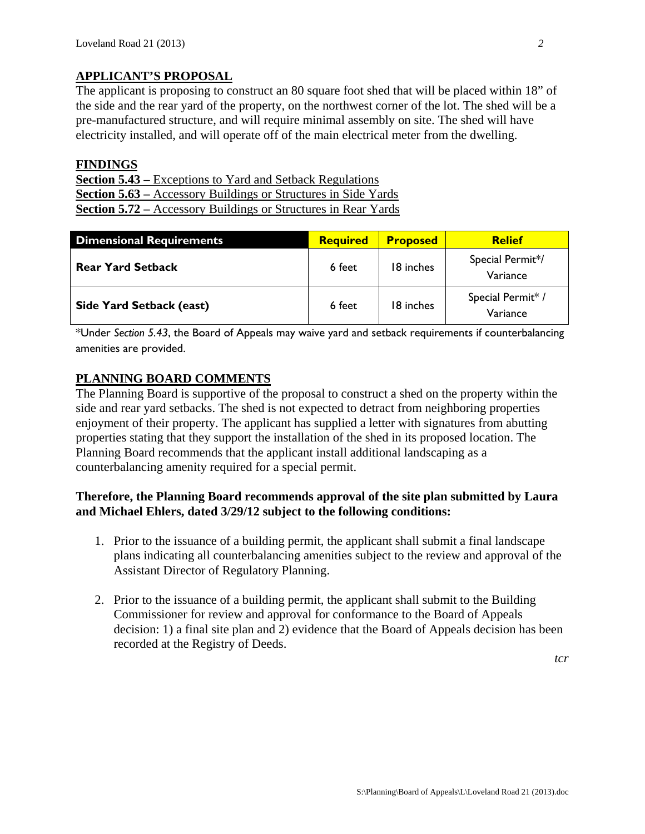#### **APPLICANT'S PROPOSAL**

The applicant is proposing to construct an 80 square foot shed that will be placed within 18" of the side and the rear yard of the property, on the northwest corner of the lot. The shed will be a pre-manufactured structure, and will require minimal assembly on site. The shed will have electricity installed, and will operate off of the main electrical meter from the dwelling.

#### **FINDINGS**

**Section 5.43 –** Exceptions to Yard and Setback Regulations **Section 5.63 –** Accessory Buildings or Structures in Side Yards **Section 5.72 –** Accessory Buildings or Structures in Rear Yards

| <b>Dimensional Requirements</b> | <b>Required</b> | <b>Proposed</b> | <b>Relief</b>                 |
|---------------------------------|-----------------|-----------------|-------------------------------|
| <b>Rear Yard Setback</b>        | 6 feet          | 18 inches       | Special Permit*/<br>Variance  |
| Side Yard Setback (east)        | 6 feet          | 18 inches       | Special Permit* /<br>Variance |

\*Under *Section 5.43*, the Board of Appeals may waive yard and setback requirements if counterbalancing amenities are provided.

#### **PLANNING BOARD COMMENTS**

The Planning Board is supportive of the proposal to construct a shed on the property within the side and rear yard setbacks. The shed is not expected to detract from neighboring properties enjoyment of their property. The applicant has supplied a letter with signatures from abutting properties stating that they support the installation of the shed in its proposed location. The Planning Board recommends that the applicant install additional landscaping as a counterbalancing amenity required for a special permit.

#### **Therefore, the Planning Board recommends approval of the site plan submitted by Laura and Michael Ehlers, dated 3/29/12 subject to the following conditions:**

- 1. Prior to the issuance of a building permit, the applicant shall submit a final landscape plans indicating all counterbalancing amenities subject to the review and approval of the Assistant Director of Regulatory Planning.
- 2. Prior to the issuance of a building permit, the applicant shall submit to the Building Commissioner for review and approval for conformance to the Board of Appeals decision: 1) a final site plan and 2) evidence that the Board of Appeals decision has been recorded at the Registry of Deeds.